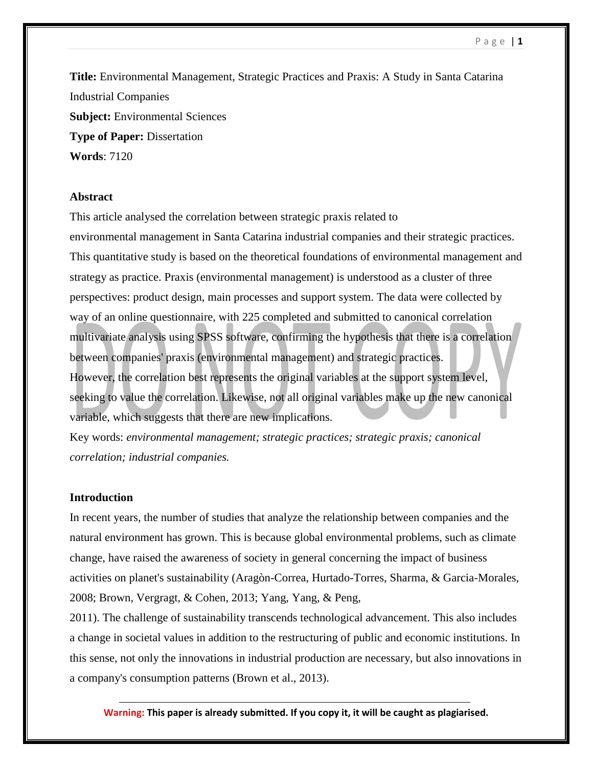**Title:** Environmental Management, Strategic Practices and Praxis: A Study in Santa Catarina Industrial Companies **Subject:** Environmental Sciences **Type of Paper:** Dissertation **Words**: 7120

## **Abstract**

This article analysed the correlation between strategic praxis related to environmental management in Santa Catarina industrial companies and their strategic practices. This quantitative study is based on the theoretical foundations of environmental management and strategy as practice. Praxis (environmental management) is understood as a cluster of three perspectives: product design, main processes and support system. The data were collected by way of an online questionnaire, with 225 completed and submitted to canonical correlation multivariate analysis using SPSS software, confirming the hypothesis that there is a correlation between companies' praxis (environmental management) and strategic practices. However, the correlation best represents the original variables at the support system level, seeking to value the correlation. Likewise, not all original variables make up the new canonical variable, which suggests that there are new implications.

Key words: *environmental management; strategic practices; strategic praxis; canonical correlation; industrial companies.*

## **Introduction**

In recent years, the number of studies that analyze the relationship between companies and the natural environment has grown. This is because global environmental problems, such as climate change, have raised the awareness of society in general concerning the impact of business activities on planet's sustainability (Aragòn-Correa, Hurtado-Torres, Sharma, & Garcia-Morales, 2008; Brown, Vergragt, & Cohen, 2013; Yang, Yang, & Peng,

2011). The challenge of sustainability transcends technological advancement. This also includes a change in societal values in addition to the restructuring of public and economic institutions. In this sense, not only the innovations in industrial production are necessary, but also innovations in a company's consumption patterns (Brown et al., 2013).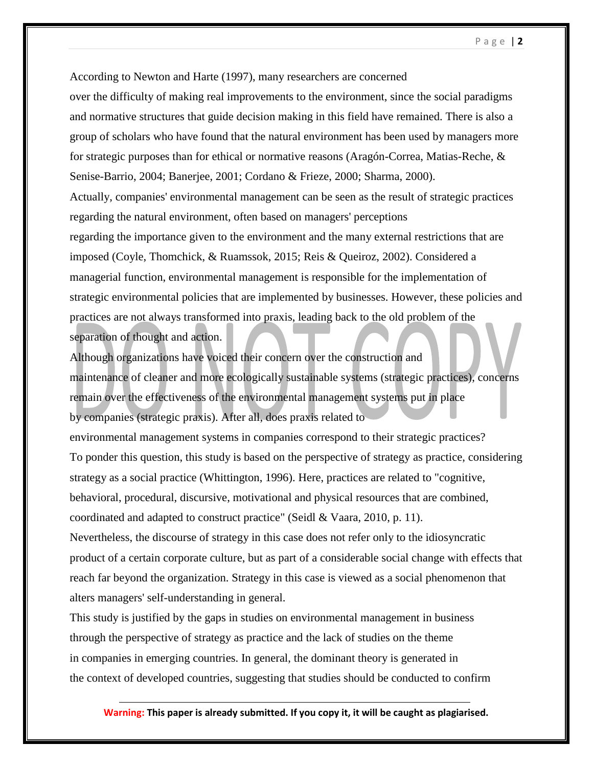According to Newton and Harte (1997), many researchers are concerned over the difficulty of making real improvements to the environment, since the social paradigms and normative structures that guide decision making in this field have remained. There is also a group of scholars who have found that the natural environment has been used by managers more for strategic purposes than for ethical or normative reasons (Aragón-Correa, Matias-Reche, & Senise-Barrio, 2004; Banerjee, 2001; Cordano & Frieze, 2000; Sharma, 2000). Actually, companies' environmental management can be seen as the result of strategic practices regarding the natural environment, often based on managers' perceptions regarding the importance given to the environment and the many external restrictions that are imposed (Coyle, Thomchick, & Ruamssok, 2015; Reis & Queiroz, 2002). Considered a managerial function, environmental management is responsible for the implementation of strategic environmental policies that are implemented by businesses. However, these policies and practices are not always transformed into praxis, leading back to the old problem of the separation of thought and action.

Although organizations have voiced their concern over the construction and maintenance of cleaner and more ecologically sustainable systems (strategic practices), concerns remain over the effectiveness of the environmental management systems put in place by companies (strategic praxis). After all, does praxis related to

environmental management systems in companies correspond to their strategic practices? To ponder this question, this study is based on the perspective of strategy as practice, considering strategy as a social practice (Whittington, 1996). Here, practices are related to "cognitive, behavioral, procedural, discursive, motivational and physical resources that are combined, coordinated and adapted to construct practice" (Seidl & Vaara, 2010, p. 11).

Nevertheless, the discourse of strategy in this case does not refer only to the idiosyncratic product of a certain corporate culture, but as part of a considerable social change with effects that reach far beyond the organization. Strategy in this case is viewed as a social phenomenon that alters managers' self-understanding in general.

This study is justified by the gaps in studies on environmental management in business through the perspective of strategy as practice and the lack of studies on the theme in companies in emerging countries. In general, the dominant theory is generated in the context of developed countries, suggesting that studies should be conducted to confirm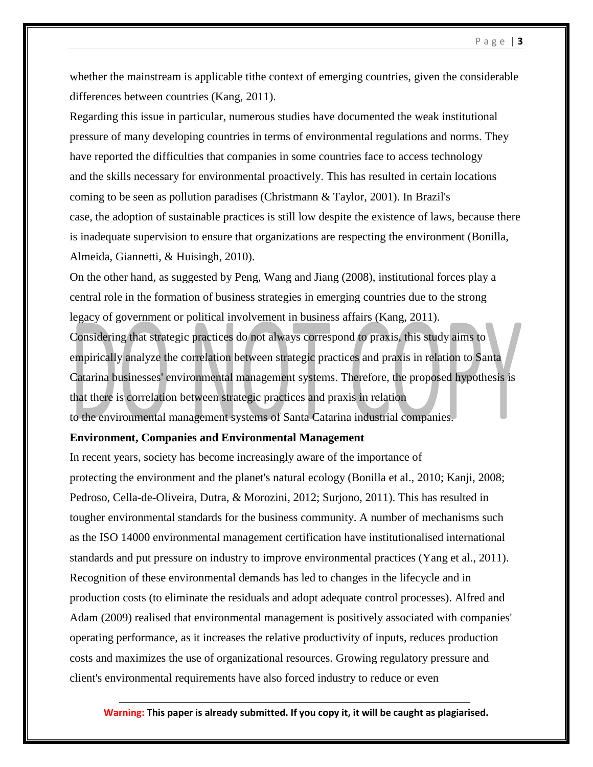whether the mainstream is applicable tithe context of emerging countries, given the considerable differences between countries (Kang, 2011).

Regarding this issue in particular, numerous studies have documented the weak institutional pressure of many developing countries in terms of environmental regulations and norms. They have reported the difficulties that companies in some countries face to access technology and the skills necessary for environmental proactively. This has resulted in certain locations coming to be seen as pollution paradises (Christmann & Taylor, 2001). In Brazil's case, the adoption of sustainable practices is still low despite the existence of laws, because there is inadequate supervision to ensure that organizations are respecting the environment (Bonilla, Almeida, Giannetti, & Huisingh, 2010).

On the other hand, as suggested by Peng, Wang and Jiang (2008), institutional forces play a central role in the formation of business strategies in emerging countries due to the strong legacy of government or political involvement in business affairs (Kang, 2011). Considering that strategic practices do not always correspond to praxis, this study aims to empirically analyze the correlation between strategic practices and praxis in relation to Santa Catarina businesses' environmental management systems. Therefore, the proposed hypothesis is that there is correlation between strategic practices and praxis in relation to the environmental management systems of Santa Catarina industrial companies.

### **Environment, Companies and Environmental Management**

In recent years, society has become increasingly aware of the importance of protecting the environment and the planet's natural ecology (Bonilla et al., 2010; Kanji, 2008; Pedroso, Cella-de-Oliveira, Dutra, & Morozini, 2012; Surjono, 2011). This has resulted in tougher environmental standards for the business community. A number of mechanisms such as the ISO 14000 environmental management certification have institutionalised international standards and put pressure on industry to improve environmental practices (Yang et al., 2011). Recognition of these environmental demands has led to changes in the lifecycle and in production costs (to eliminate the residuals and adopt adequate control processes). Alfred and Adam (2009) realised that environmental management is positively associated with companies' operating performance, as it increases the relative productivity of inputs, reduces production costs and maximizes the use of organizational resources. Growing regulatory pressure and client's environmental requirements have also forced industry to reduce or even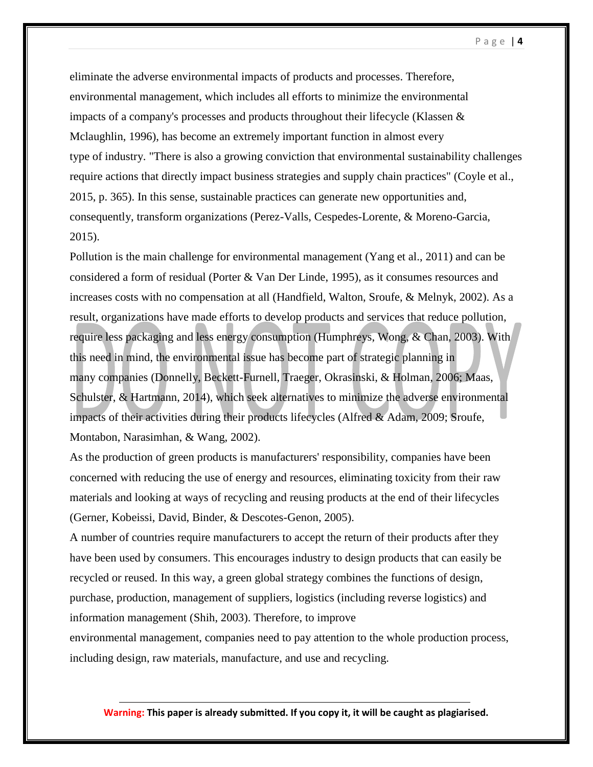P a g e | **4**

eliminate the adverse environmental impacts of products and processes. Therefore, environmental management, which includes all efforts to minimize the environmental impacts of a company's processes and products throughout their lifecycle (Klassen & Mclaughlin, 1996), has become an extremely important function in almost every type of industry. "There is also a growing conviction that environmental sustainability challenges require actions that directly impact business strategies and supply chain practices" (Coyle et al., 2015, p. 365). In this sense, sustainable practices can generate new opportunities and, consequently, transform organizations (Perez-Valls, Cespedes-Lorente, & Moreno-Garcia, 2015).

Pollution is the main challenge for environmental management (Yang et al., 2011) and can be considered a form of residual (Porter & Van Der Linde, 1995), as it consumes resources and increases costs with no compensation at all (Handfield, Walton, Sroufe, & Melnyk, 2002). As a result, organizations have made efforts to develop products and services that reduce pollution, require less packaging and less energy consumption (Humphreys, Wong, & Chan, 2003). With this need in mind, the environmental issue has become part of strategic planning in many companies (Donnelly, Beckett-Furnell, Traeger, Okrasinski, & Holman, 2006; Maas, Schulster, & Hartmann, 2014), which seek alternatives to minimize the adverse environmental impacts of their activities during their products lifecycles (Alfred & Adam, 2009; Sroufe, Montabon, Narasimhan, & Wang, 2002).

As the production of green products is manufacturers' responsibility, companies have been concerned with reducing the use of energy and resources, eliminating toxicity from their raw materials and looking at ways of recycling and reusing products at the end of their lifecycles (Gerner, Kobeissi, David, Binder, & Descotes-Genon, 2005).

A number of countries require manufacturers to accept the return of their products after they have been used by consumers. This encourages industry to design products that can easily be recycled or reused. In this way, a green global strategy combines the functions of design, purchase, production, management of suppliers, logistics (including reverse logistics) and information management (Shih, 2003). Therefore, to improve

environmental management, companies need to pay attention to the whole production process, including design, raw materials, manufacture, and use and recycling.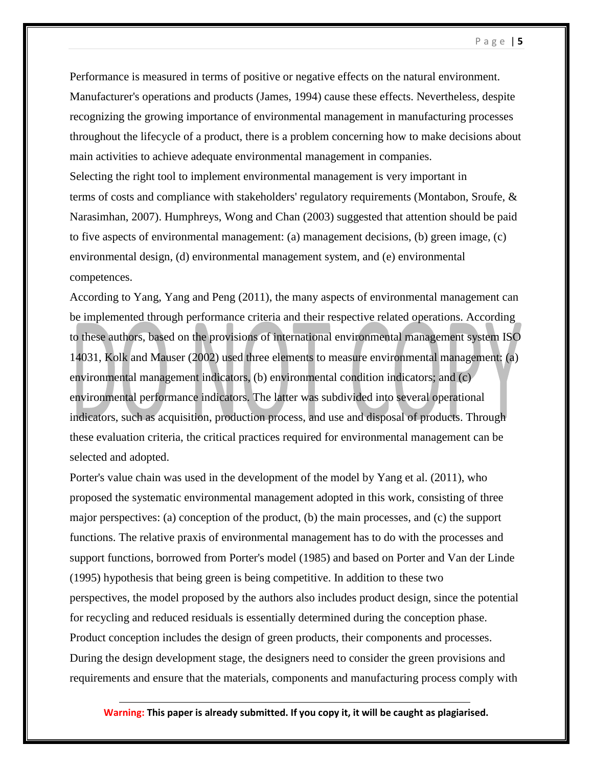P a g e | **5**

Performance is measured in terms of positive or negative effects on the natural environment. Manufacturer's operations and products (James, 1994) cause these effects. Nevertheless, despite recognizing the growing importance of environmental management in manufacturing processes throughout the lifecycle of a product, there is a problem concerning how to make decisions about main activities to achieve adequate environmental management in companies. Selecting the right tool to implement environmental management is very important in terms of costs and compliance with stakeholders' regulatory requirements (Montabon, Sroufe, & Narasimhan, 2007). Humphreys, Wong and Chan (2003) suggested that attention should be paid to five aspects of environmental management: (a) management decisions, (b) green image, (c) environmental design, (d) environmental management system, and (e) environmental competences.

According to Yang, Yang and Peng (2011), the many aspects of environmental management can be implemented through performance criteria and their respective related operations. According to these authors, based on the provisions of international environmental management system ISO 14031, Kolk and Mauser (2002) used three elements to measure environmental management: (a) environmental management indicators, (b) environmental condition indicators; and (c) environmental performance indicators. The latter was subdivided into several operational indicators, such as acquisition, production process, and use and disposal of products. Through these evaluation criteria, the critical practices required for environmental management can be selected and adopted.

Porter's value chain was used in the development of the model by Yang et al. (2011), who proposed the systematic environmental management adopted in this work, consisting of three major perspectives: (a) conception of the product, (b) the main processes, and (c) the support functions. The relative praxis of environmental management has to do with the processes and support functions, borrowed from Porter's model (1985) and based on Porter and Van der Linde (1995) hypothesis that being green is being competitive. In addition to these two perspectives, the model proposed by the authors also includes product design, since the potential for recycling and reduced residuals is essentially determined during the conception phase. Product conception includes the design of green products, their components and processes. During the design development stage, the designers need to consider the green provisions and requirements and ensure that the materials, components and manufacturing process comply with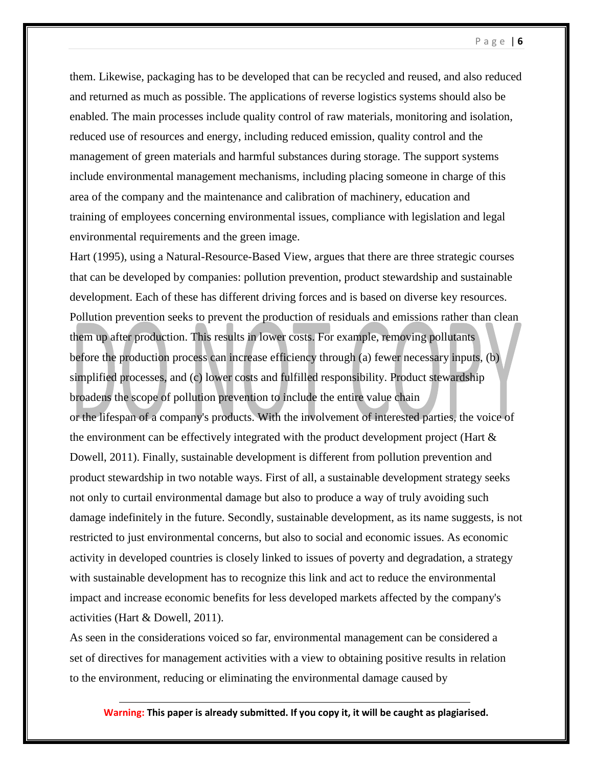them. Likewise, packaging has to be developed that can be recycled and reused, and also reduced and returned as much as possible. The applications of reverse logistics systems should also be enabled. The main processes include quality control of raw materials, monitoring and isolation, reduced use of resources and energy, including reduced emission, quality control and the management of green materials and harmful substances during storage. The support systems include environmental management mechanisms, including placing someone in charge of this area of the company and the maintenance and calibration of machinery, education and training of employees concerning environmental issues, compliance with legislation and legal environmental requirements and the green image.

Hart (1995), using a Natural-Resource-Based View, argues that there are three strategic courses that can be developed by companies: pollution prevention, product stewardship and sustainable development. Each of these has different driving forces and is based on diverse key resources. Pollution prevention seeks to prevent the production of residuals and emissions rather than clean them up after production. This results in lower costs. For example, removing pollutants before the production process can increase efficiency through (a) fewer necessary inputs, (b) simplified processes, and (c) lower costs and fulfilled responsibility. Product stewardship broadens the scope of pollution prevention to include the entire value chain or the lifespan of a company's products. With the involvement of interested parties, the voice of the environment can be effectively integrated with the product development project (Hart  $\&$ Dowell, 2011). Finally, sustainable development is different from pollution prevention and product stewardship in two notable ways. First of all, a sustainable development strategy seeks not only to curtail environmental damage but also to produce a way of truly avoiding such damage indefinitely in the future. Secondly, sustainable development, as its name suggests, is not restricted to just environmental concerns, but also to social and economic issues. As economic activity in developed countries is closely linked to issues of poverty and degradation, a strategy with sustainable development has to recognize this link and act to reduce the environmental impact and increase economic benefits for less developed markets affected by the company's activities (Hart & Dowell, 2011).

As seen in the considerations voiced so far, environmental management can be considered a set of directives for management activities with a view to obtaining positive results in relation to the environment, reducing or eliminating the environmental damage caused by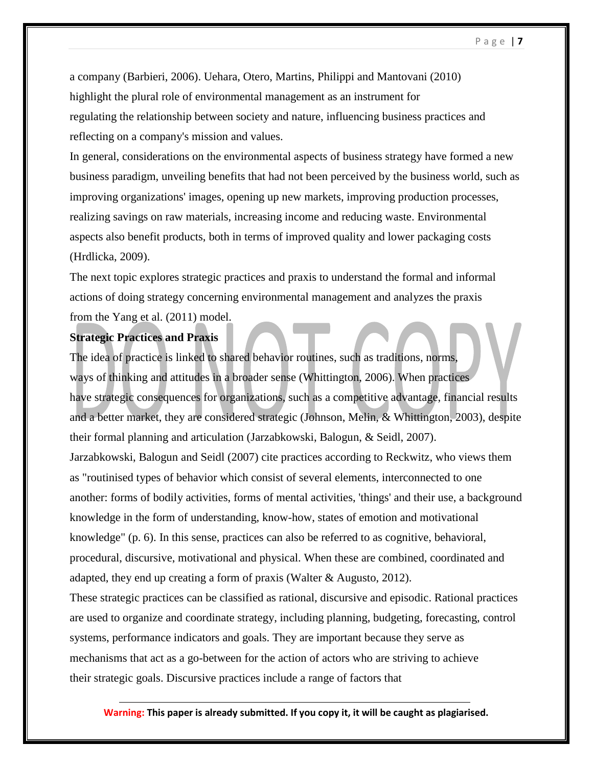a company (Barbieri, 2006). Uehara, Otero, Martins, Philippi and Mantovani (2010) highlight the plural role of environmental management as an instrument for regulating the relationship between society and nature, influencing business practices and reflecting on a company's mission and values.

In general, considerations on the environmental aspects of business strategy have formed a new business paradigm, unveiling benefits that had not been perceived by the business world, such as improving organizations' images, opening up new markets, improving production processes, realizing savings on raw materials, increasing income and reducing waste. Environmental aspects also benefit products, both in terms of improved quality and lower packaging costs (Hrdlicka, 2009).

The next topic explores strategic practices and praxis to understand the formal and informal actions of doing strategy concerning environmental management and analyzes the praxis from the Yang et al. (2011) model.

## **Strategic Practices and Praxis**

The idea of practice is linked to shared behavior routines, such as traditions, norms, ways of thinking and attitudes in a broader sense (Whittington, 2006). When practices have strategic consequences for organizations, such as a competitive advantage, financial results and a better market, they are considered strategic (Johnson, Melin, & Whittington, 2003), despite their formal planning and articulation (Jarzabkowski, Balogun, & Seidl, 2007). Jarzabkowski, Balogun and Seidl (2007) cite practices according to Reckwitz, who views them as "routinised types of behavior which consist of several elements, interconnected to one another: forms of bodily activities, forms of mental activities, 'things' and their use, a background knowledge in the form of understanding, know-how, states of emotion and motivational knowledge" (p. 6). In this sense, practices can also be referred to as cognitive, behavioral, procedural, discursive, motivational and physical. When these are combined, coordinated and adapted, they end up creating a form of praxis (Walter & Augusto, 2012).

These strategic practices can be classified as rational, discursive and episodic. Rational practices are used to organize and coordinate strategy, including planning, budgeting, forecasting, control systems, performance indicators and goals. They are important because they serve as mechanisms that act as a go-between for the action of actors who are striving to achieve their strategic goals. Discursive practices include a range of factors that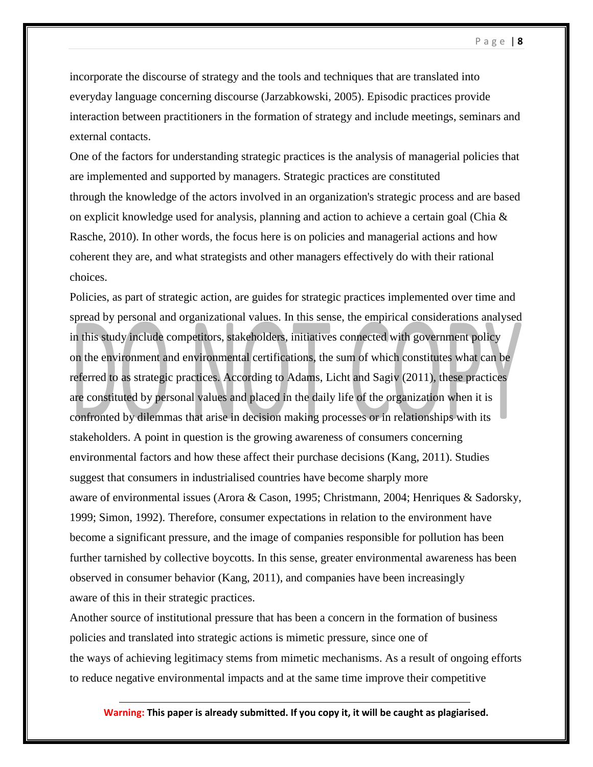incorporate the discourse of strategy and the tools and techniques that are translated into everyday language concerning discourse (Jarzabkowski, 2005). Episodic practices provide interaction between practitioners in the formation of strategy and include meetings, seminars and external contacts.

One of the factors for understanding strategic practices is the analysis of managerial policies that are implemented and supported by managers. Strategic practices are constituted through the knowledge of the actors involved in an organization's strategic process and are based on explicit knowledge used for analysis, planning and action to achieve a certain goal (Chia  $\&$ Rasche, 2010). In other words, the focus here is on policies and managerial actions and how coherent they are, and what strategists and other managers effectively do with their rational choices.

Policies, as part of strategic action, are guides for strategic practices implemented over time and spread by personal and organizational values. In this sense, the empirical considerations analysed in this study include competitors, stakeholders, initiatives connected with government policy on the environment and environmental certifications, the sum of which constitutes what can be referred to as strategic practices. According to Adams, Licht and Sagiv (2011), these practices are constituted by personal values and placed in the daily life of the organization when it is confronted by dilemmas that arise in decision making processes or in relationships with its stakeholders. A point in question is the growing awareness of consumers concerning environmental factors and how these affect their purchase decisions (Kang, 2011). Studies suggest that consumers in industrialised countries have become sharply more aware of environmental issues (Arora & Cason, 1995; Christmann, 2004; Henriques & Sadorsky, 1999; Simon, 1992). Therefore, consumer expectations in relation to the environment have become a significant pressure, and the image of companies responsible for pollution has been further tarnished by collective boycotts. In this sense, greater environmental awareness has been observed in consumer behavior (Kang, 2011), and companies have been increasingly aware of this in their strategic practices.

Another source of institutional pressure that has been a concern in the formation of business policies and translated into strategic actions is mimetic pressure, since one of the ways of achieving legitimacy stems from mimetic mechanisms. As a result of ongoing efforts to reduce negative environmental impacts and at the same time improve their competitive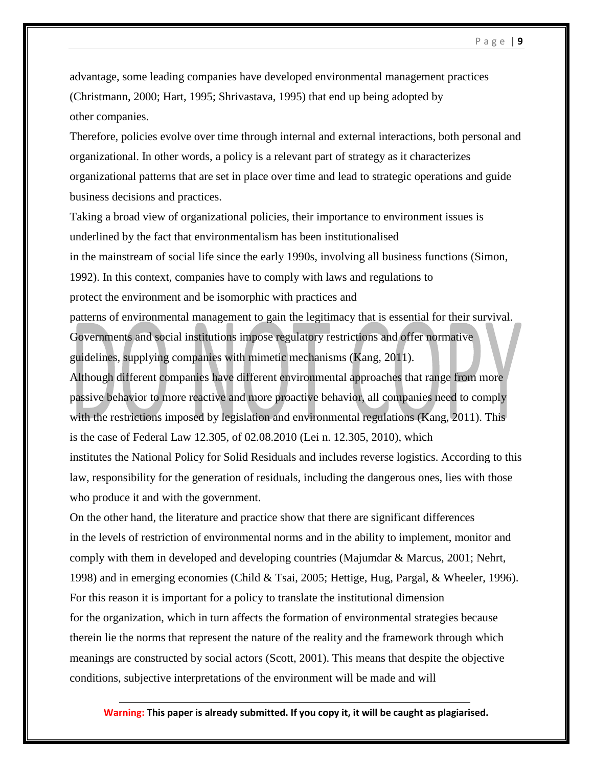advantage, some leading companies have developed environmental management practices (Christmann, 2000; Hart, 1995; Shrivastava, 1995) that end up being adopted by other companies.

Therefore, policies evolve over time through internal and external interactions, both personal and organizational. In other words, a policy is a relevant part of strategy as it characterizes organizational patterns that are set in place over time and lead to strategic operations and guide business decisions and practices.

Taking a broad view of organizational policies, their importance to environment issues is underlined by the fact that environmentalism has been institutionalised in the mainstream of social life since the early 1990s, involving all business functions (Simon, 1992). In this context, companies have to comply with laws and regulations to protect the environment and be isomorphic with practices and patterns of environmental management to gain the legitimacy that is essential for their survival. Governments and social institutions impose regulatory restrictions and offer normative guidelines, supplying companies with mimetic mechanisms (Kang, 2011).

Although different companies have different environmental approaches that range from more passive behavior to more reactive and more proactive behavior, all companies need to comply with the restrictions imposed by legislation and environmental regulations (Kang, 2011). This is the case of Federal Law 12.305, of 02.08.2010 (Lei n. 12.305, 2010), which

institutes the National Policy for Solid Residuals and includes reverse logistics. According to this law, responsibility for the generation of residuals, including the dangerous ones, lies with those who produce it and with the government.

On the other hand, the literature and practice show that there are significant differences in the levels of restriction of environmental norms and in the ability to implement, monitor and comply with them in developed and developing countries (Majumdar & Marcus, 2001; Nehrt, 1998) and in emerging economies (Child & Tsai, 2005; Hettige, Hug, Pargal, & Wheeler, 1996). For this reason it is important for a policy to translate the institutional dimension for the organization, which in turn affects the formation of environmental strategies because therein lie the norms that represent the nature of the reality and the framework through which meanings are constructed by social actors (Scott, 2001). This means that despite the objective conditions, subjective interpretations of the environment will be made and will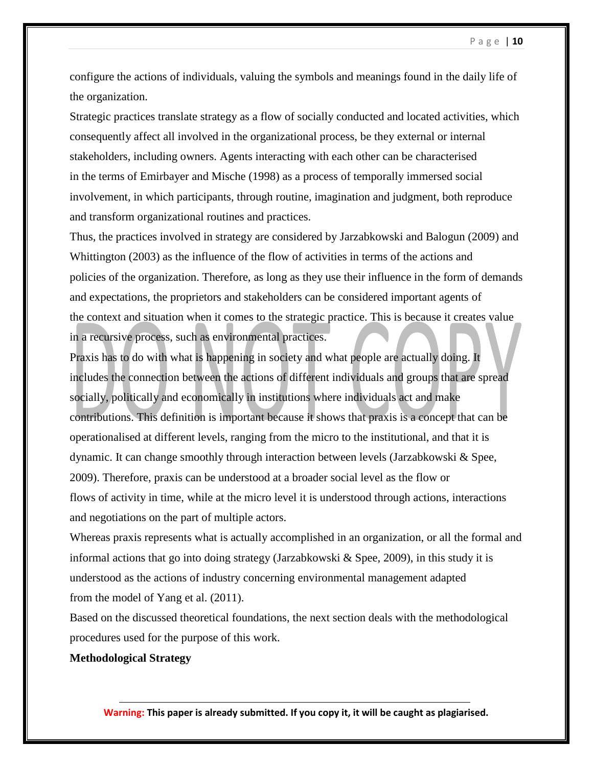configure the actions of individuals, valuing the symbols and meanings found in the daily life of the organization.

Strategic practices translate strategy as a flow of socially conducted and located activities, which consequently affect all involved in the organizational process, be they external or internal stakeholders, including owners. Agents interacting with each other can be characterised in the terms of Emirbayer and Mische (1998) as a process of temporally immersed social involvement, in which participants, through routine, imagination and judgment, both reproduce and transform organizational routines and practices.

Thus, the practices involved in strategy are considered by Jarzabkowski and Balogun (2009) and Whittington (2003) as the influence of the flow of activities in terms of the actions and policies of the organization. Therefore, as long as they use their influence in the form of demands and expectations, the proprietors and stakeholders can be considered important agents of the context and situation when it comes to the strategic practice. This is because it creates value in a recursive process, such as environmental practices.

Praxis has to do with what is happening in society and what people are actually doing. It includes the connection between the actions of different individuals and groups that are spread socially, politically and economically in institutions where individuals act and make contributions. This definition is important because it shows that praxis is a concept that can be operationalised at different levels, ranging from the micro to the institutional, and that it is dynamic. It can change smoothly through interaction between levels (Jarzabkowski & Spee, 2009). Therefore, praxis can be understood at a broader social level as the flow or flows of activity in time, while at the micro level it is understood through actions, interactions and negotiations on the part of multiple actors.

Whereas praxis represents what is actually accomplished in an organization, or all the formal and informal actions that go into doing strategy (Jarzabkowski & Spee, 2009), in this study it is understood as the actions of industry concerning environmental management adapted from the model of Yang et al. (2011).

Based on the discussed theoretical foundations, the next section deals with the methodological procedures used for the purpose of this work.

## **Methodological Strategy**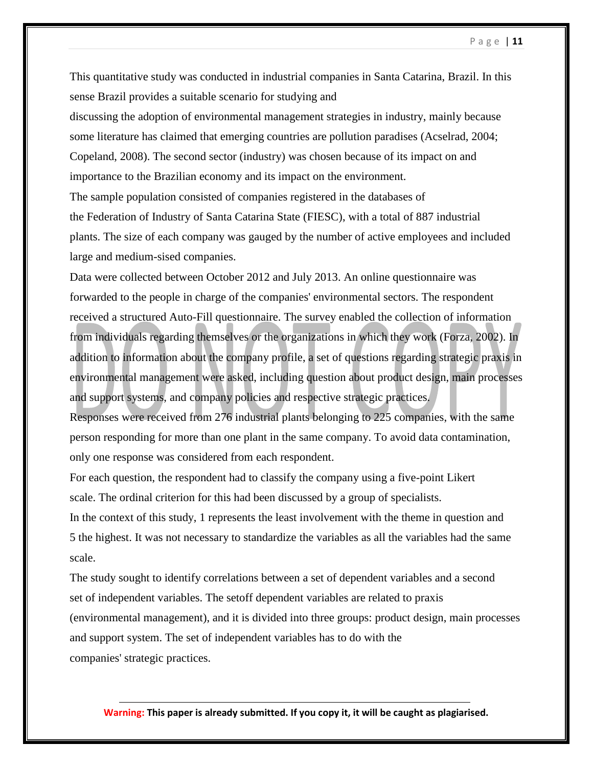This quantitative study was conducted in industrial companies in Santa Catarina, Brazil. In this sense Brazil provides a suitable scenario for studying and

discussing the adoption of environmental management strategies in industry, mainly because some literature has claimed that emerging countries are pollution paradises (Acselrad, 2004; Copeland, 2008). The second sector (industry) was chosen because of its impact on and importance to the Brazilian economy and its impact on the environment.

The sample population consisted of companies registered in the databases of

the Federation of Industry of Santa Catarina State (FIESC), with a total of 887 industrial plants. The size of each company was gauged by the number of active employees and included large and medium-sised companies.

Data were collected between October 2012 and July 2013. An online questionnaire was forwarded to the people in charge of the companies' environmental sectors. The respondent received a structured Auto-Fill questionnaire. The survey enabled the collection of information from individuals regarding themselves or the organizations in which they work (Forza, 2002). In addition to information about the company profile, a set of questions regarding strategic praxis in environmental management were asked, including question about product design, main processes and support systems, and company policies and respective strategic practices.

Responses were received from 276 industrial plants belonging to 225 companies, with the same person responding for more than one plant in the same company. To avoid data contamination, only one response was considered from each respondent.

For each question, the respondent had to classify the company using a five-point Likert scale. The ordinal criterion for this had been discussed by a group of specialists.

In the context of this study, 1 represents the least involvement with the theme in question and 5 the highest. It was not necessary to standardize the variables as all the variables had the same scale.

The study sought to identify correlations between a set of dependent variables and a second set of independent variables. The setoff dependent variables are related to praxis (environmental management), and it is divided into three groups: product design, main processes and support system. The set of independent variables has to do with the companies' strategic practices.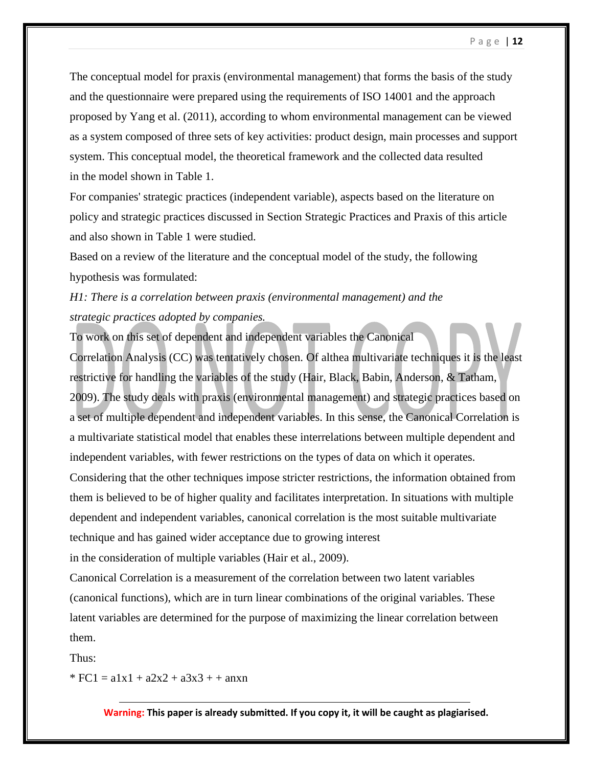The conceptual model for praxis (environmental management) that forms the basis of the study and the questionnaire were prepared using the requirements of ISO 14001 and the approach proposed by Yang et al. (2011), according to whom environmental management can be viewed as a system composed of three sets of key activities: product design, main processes and support system. This conceptual model, the theoretical framework and the collected data resulted in the model shown in Table 1.

For companies' strategic practices (independent variable), aspects based on the literature on policy and strategic practices discussed in Section Strategic Practices and Praxis of this article and also shown in Table 1 were studied.

Based on a review of the literature and the conceptual model of the study, the following hypothesis was formulated:

# *H1: There is a correlation between praxis (environmental management) and the strategic practices adopted by companies.*

To work on this set of dependent and independent variables the Canonical Correlation Analysis (CC) was tentatively chosen. Of althea multivariate techniques it is the least restrictive for handling the variables of the study (Hair, Black, Babin, Anderson, & Tatham, 2009). The study deals with praxis (environmental management) and strategic practices based on a set of multiple dependent and independent variables. In this sense, the Canonical Correlation is a multivariate statistical model that enables these interrelations between multiple dependent and independent variables, with fewer restrictions on the types of data on which it operates. Considering that the other techniques impose stricter restrictions, the information obtained from them is believed to be of higher quality and facilitates interpretation. In situations with multiple dependent and independent variables, canonical correlation is the most suitable multivariate technique and has gained wider acceptance due to growing interest

in the consideration of multiple variables (Hair et al., 2009).

Canonical Correlation is a measurement of the correlation between two latent variables (canonical functions), which are in turn linear combinations of the original variables. These latent variables are determined for the purpose of maximizing the linear correlation between them.

Thus:

 $*$  FC1 = a1x1 + a2x2 + a3x3 + + anxn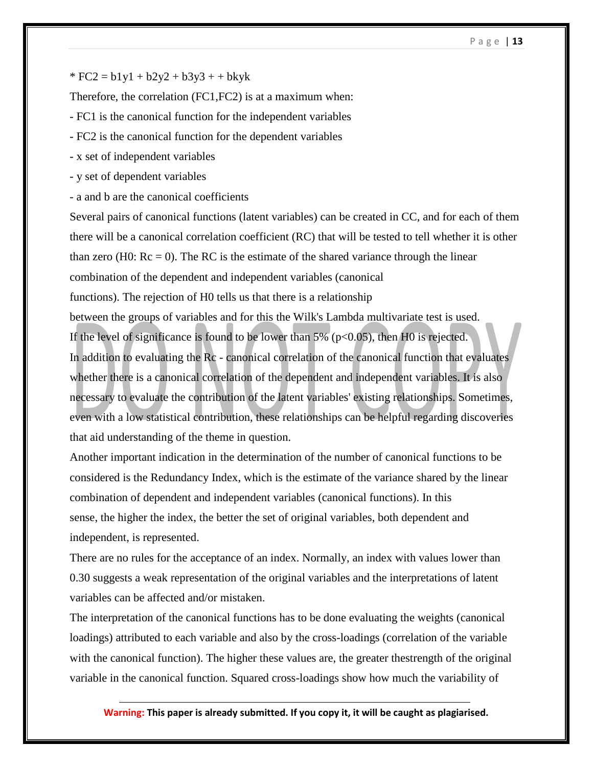#### P a g e | **13**

 $* FC2 = b1y1 + b2y2 + b3y3 + b4yk$ 

Therefore, the correlation (FC1,FC2) is at a maximum when:

- FC1 is the canonical function for the independent variables

- FC2 is the canonical function for the dependent variables
- x set of independent variables
- y set of dependent variables
- a and b are the canonical coefficients

Several pairs of canonical functions (latent variables) can be created in CC, and for each of them there will be a canonical correlation coefficient (RC) that will be tested to tell whether it is other than zero (H0:  $\text{Rc} = 0$ ). The RC is the estimate of the shared variance through the linear combination of the dependent and independent variables (canonical functions). The rejection of H0 tells us that there is a relationship between the groups of variables and for this the Wilk's Lambda multivariate test is used. If the level of significance is found to be lower than  $5\%$  (p<0.05), then H0 is rejected. In addition to evaluating the Rc - canonical correlation of the canonical function that evaluates whether there is a canonical correlation of the dependent and independent variables. It is also necessary to evaluate the contribution of the latent variables' existing relationships. Sometimes, even with a low statistical contribution, these relationships can be helpful regarding discoveries that aid understanding of the theme in question.

Another important indication in the determination of the number of canonical functions to be considered is the Redundancy Index, which is the estimate of the variance shared by the linear combination of dependent and independent variables (canonical functions). In this sense, the higher the index, the better the set of original variables, both dependent and independent, is represented.

There are no rules for the acceptance of an index. Normally, an index with values lower than 0.30 suggests a weak representation of the original variables and the interpretations of latent variables can be affected and/or mistaken.

The interpretation of the canonical functions has to be done evaluating the weights (canonical loadings) attributed to each variable and also by the cross-loadings (correlation of the variable with the canonical function). The higher these values are, the greater thestrength of the original variable in the canonical function. Squared cross-loadings show how much the variability of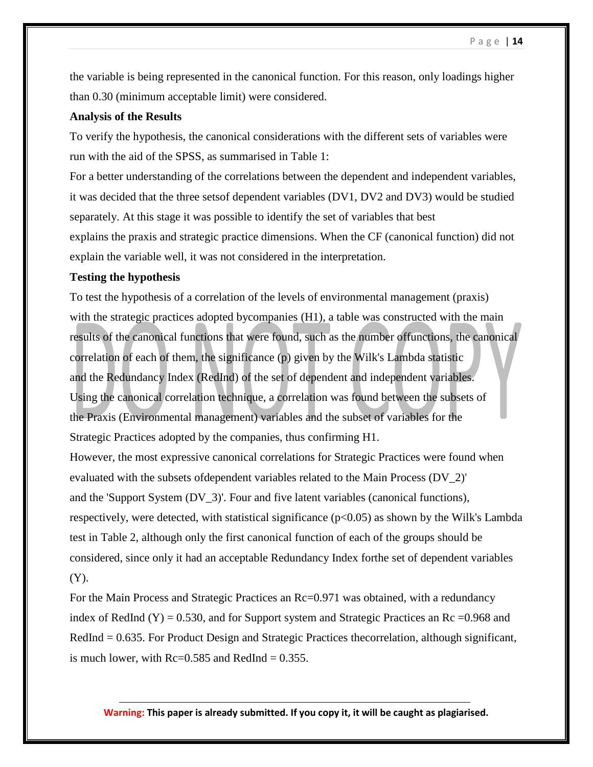the variable is being represented in the canonical function. For this reason, only loadings higher than 0.30 (minimum acceptable limit) were considered.

## **Analysis of the Results**

To verify the hypothesis, the canonical considerations with the different sets of variables were run with the aid of the SPSS, as summarised in Table 1:

For a better understanding of the correlations between the dependent and independent variables, it was decided that the three setsof dependent variables (DV1, DV2 and DV3) would be studied separately. At this stage it was possible to identify the set of variables that best explains the praxis and strategic practice dimensions. When the CF (canonical function) did not explain the variable well, it was not considered in the interpretation.

## **Testing the hypothesis**

To test the hypothesis of a correlation of the levels of environmental management (praxis) with the strategic practices adopted bycompanies (H1), a table was constructed with the main results of the canonical functions that were found, such as the number offunctions, the canonical correlation of each of them, the significance (p) given by the Wilk's Lambda statistic and the Redundancy Index (RedInd) of the set of dependent and independent variables. Using the canonical correlation technique, a correlation was found between the subsets of the Praxis (Environmental management) variables and the subset of variables for the Strategic Practices adopted by the companies, thus confirming H1.

However, the most expressive canonical correlations for Strategic Practices were found when evaluated with the subsets ofdependent variables related to the Main Process (DV\_2)' and the 'Support System (DV\_3)'. Four and five latent variables (canonical functions), respectively, were detected, with statistical significance  $(p<0.05)$  as shown by the Wilk's Lambda test in Table 2, although only the first canonical function of each of the groups should be considered, since only it had an acceptable Redundancy Index forthe set of dependent variables (Y).

For the Main Process and Strategic Practices an  $Re=0.971$  was obtained, with a redundancy index of RedInd  $(Y) = 0.530$ , and for Support system and Strategic Practices an Rc = 0.968 and RedInd = 0.635. For Product Design and Strategic Practices thecorrelation, although significant, is much lower, with  $\text{Rc}=0.585$  and  $\text{RedInd} = 0.355$ .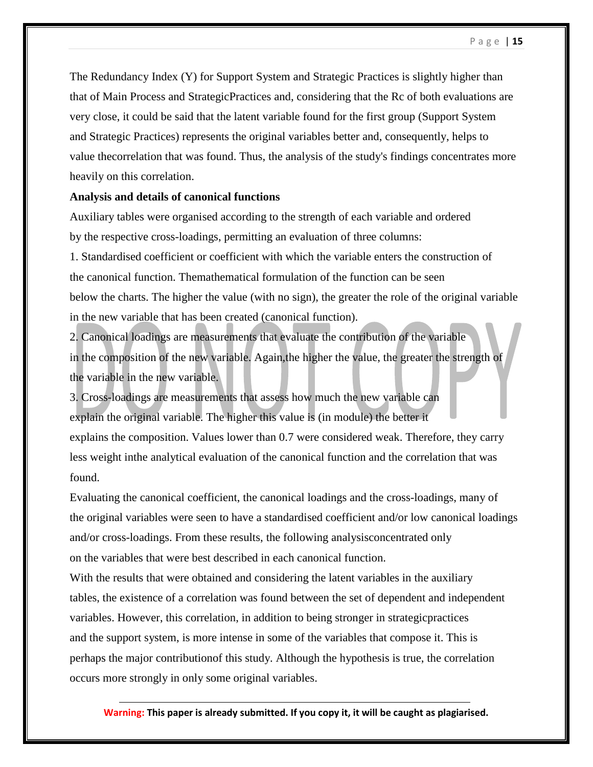The Redundancy Index (Y) for Support System and Strategic Practices is slightly higher than that of Main Process and StrategicPractices and, considering that the Rc of both evaluations are very close, it could be said that the latent variable found for the first group (Support System and Strategic Practices) represents the original variables better and, consequently, helps to value thecorrelation that was found. Thus, the analysis of the study's findings concentrates more heavily on this correlation.

## **Analysis and details of canonical functions**

Auxiliary tables were organised according to the strength of each variable and ordered by the respective cross-loadings, permitting an evaluation of three columns:

1. Standardised coefficient or coefficient with which the variable enters the construction of the canonical function. Themathematical formulation of the function can be seen below the charts. The higher the value (with no sign), the greater the role of the original variable in the new variable that has been created (canonical function).

2. Canonical loadings are measurements that evaluate the contribution of the variable in the composition of the new variable. Again,the higher the value, the greater the strength of the variable in the new variable.

3. Cross-loadings are measurements that assess how much the new variable can explain the original variable. The higher this value is (in module) the better it explains the composition. Values lower than 0.7 were considered weak. Therefore, they carry less weight inthe analytical evaluation of the canonical function and the correlation that was found.

Evaluating the canonical coefficient, the canonical loadings and the cross-loadings, many of the original variables were seen to have a standardised coefficient and/or low canonical loadings and/or cross-loadings. From these results, the following analysisconcentrated only on the variables that were best described in each canonical function.

With the results that were obtained and considering the latent variables in the auxiliary tables, the existence of a correlation was found between the set of dependent and independent variables. However, this correlation, in addition to being stronger in strategicpractices and the support system, is more intense in some of the variables that compose it. This is perhaps the major contributionof this study. Although the hypothesis is true, the correlation occurs more strongly in only some original variables.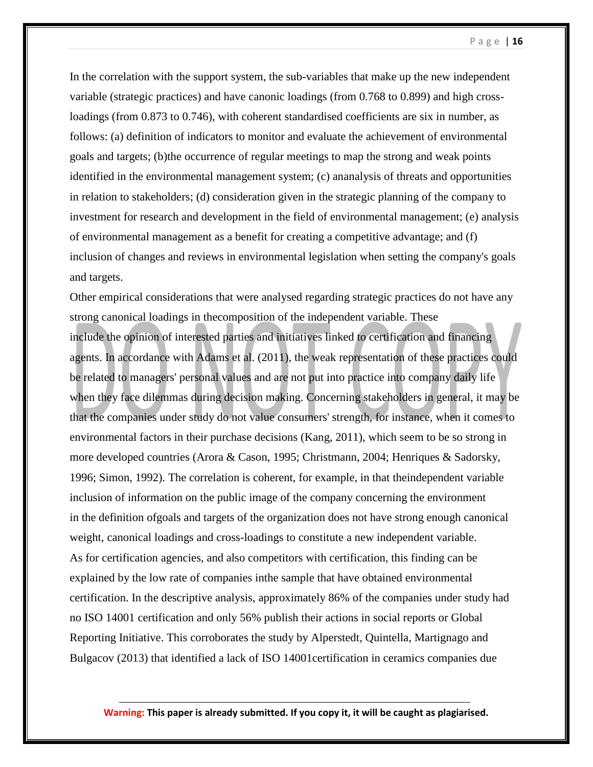In the correlation with the support system, the sub-variables that make up the new independent variable (strategic practices) and have canonic loadings (from 0.768 to 0.899) and high crossloadings (from 0.873 to 0.746), with coherent standardised coefficients are six in number, as follows: (a) definition of indicators to monitor and evaluate the achievement of environmental goals and targets; (b)the occurrence of regular meetings to map the strong and weak points identified in the environmental management system; (c) ananalysis of threats and opportunities in relation to stakeholders; (d) consideration given in the strategic planning of the company to investment for research and development in the field of environmental management; (e) analysis of environmental management as a benefit for creating a competitive advantage; and (f) inclusion of changes and reviews in environmental legislation when setting the company's goals and targets.

Other empirical considerations that were analysed regarding strategic practices do not have any strong canonical loadings in thecomposition of the independent variable. These include the opinion of interested parties and initiatives linked to certification and financing agents. In accordance with Adams et al. (2011), the weak representation of these practices could be related to managers' personal values and are not put into practice into company daily life when they face dilemmas during decision making. Concerning stakeholders in general, it may be that the companies under study do not value consumers' strength, for instance, when it comes to environmental factors in their purchase decisions (Kang, 2011), which seem to be so strong in more developed countries (Arora & Cason, 1995; Christmann, 2004; Henriques & Sadorsky, 1996; Simon, 1992). The correlation is coherent, for example, in that theindependent variable inclusion of information on the public image of the company concerning the environment in the definition ofgoals and targets of the organization does not have strong enough canonical weight, canonical loadings and cross-loadings to constitute a new independent variable. As for certification agencies, and also competitors with certification, this finding can be explained by the low rate of companies inthe sample that have obtained environmental certification. In the descriptive analysis, approximately 86% of the companies under study had no ISO 14001 certification and only 56% publish their actions in social reports or Global Reporting Initiative. This corroborates the study by Alperstedt, Quintella, Martignago and Bulgacov (2013) that identified a lack of ISO 14001certification in ceramics companies due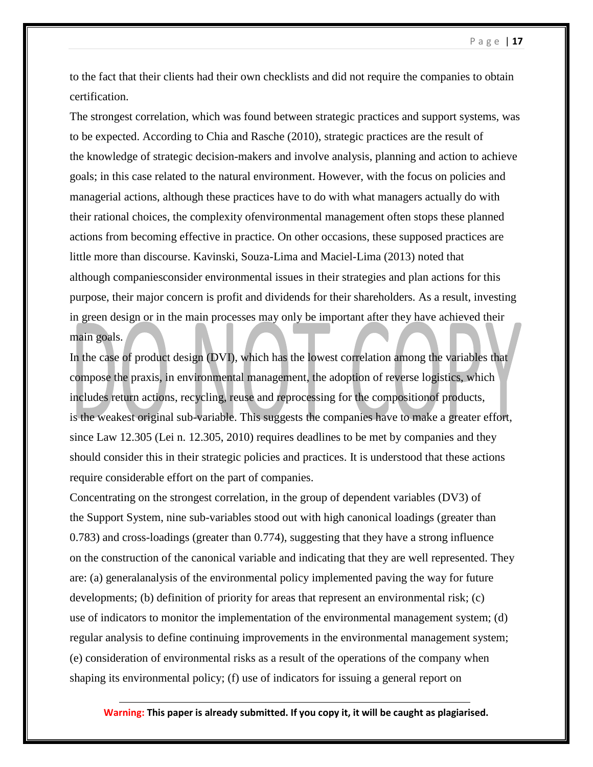to the fact that their clients had their own checklists and did not require the companies to obtain certification.

The strongest correlation, which was found between strategic practices and support systems, was to be expected. According to Chia and Rasche (2010), strategic practices are the result of the knowledge of strategic decision-makers and involve analysis, planning and action to achieve goals; in this case related to the natural environment. However, with the focus on policies and managerial actions, although these practices have to do with what managers actually do with their rational choices, the complexity ofenvironmental management often stops these planned actions from becoming effective in practice. On other occasions, these supposed practices are little more than discourse. Kavinski, Souza-Lima and Maciel-Lima (2013) noted that although companiesconsider environmental issues in their strategies and plan actions for this purpose, their major concern is profit and dividends for their shareholders. As a result, investing in green design or in the main processes may only be important after they have achieved their main goals.

In the case of product design (DVI), which has the lowest correlation among the variables that compose the praxis, in environmental management, the adoption of reverse logistics, which includes return actions, recycling, reuse and reprocessing for the compositionof products, is the weakest original sub-variable. This suggests the companies have to make a greater effort, since Law 12.305 (Lei n. 12.305, 2010) requires deadlines to be met by companies and they should consider this in their strategic policies and practices. It is understood that these actions require considerable effort on the part of companies.

Concentrating on the strongest correlation, in the group of dependent variables (DV3) of the Support System, nine sub-variables stood out with high canonical loadings (greater than 0.783) and cross-loadings (greater than 0.774), suggesting that they have a strong influence on the construction of the canonical variable and indicating that they are well represented. They are: (a) generalanalysis of the environmental policy implemented paving the way for future developments; (b) definition of priority for areas that represent an environmental risk; (c) use of indicators to monitor the implementation of the environmental management system; (d) regular analysis to define continuing improvements in the environmental management system; (e) consideration of environmental risks as a result of the operations of the company when shaping its environmental policy; (f) use of indicators for issuing a general report on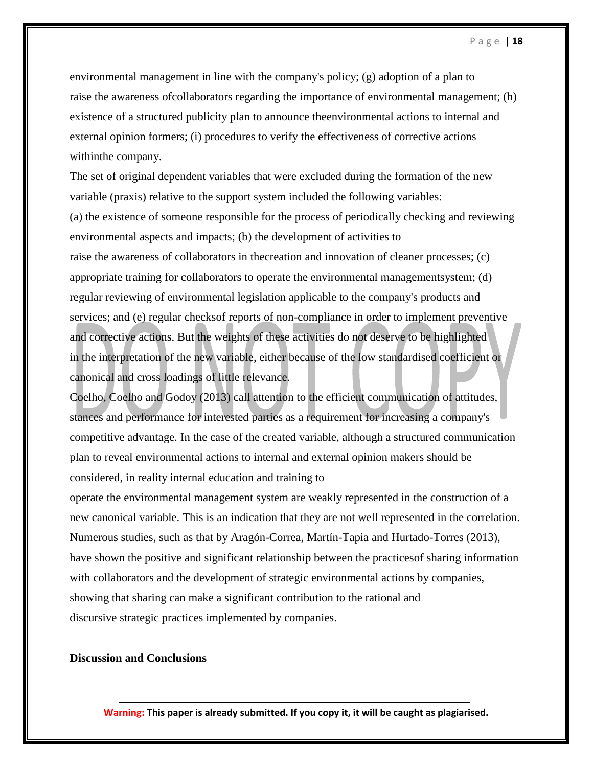environmental management in line with the company's policy; (g) adoption of a plan to raise the awareness ofcollaborators regarding the importance of environmental management; (h) existence of a structured publicity plan to announce theenvironmental actions to internal and external opinion formers; (i) procedures to verify the effectiveness of corrective actions withinthe company.

The set of original dependent variables that were excluded during the formation of the new variable (praxis) relative to the support system included the following variables: (a) the existence of someone responsible for the process of periodically checking and reviewing environmental aspects and impacts; (b) the development of activities to raise the awareness of collaborators in thecreation and innovation of cleaner processes; (c) appropriate training for collaborators to operate the environmental managementsystem; (d) regular reviewing of environmental legislation applicable to the company's products and services; and (e) regular checksof reports of non-compliance in order to implement preventive and corrective actions. But the weights of these activities do not deserve to be highlighted in the interpretation of the new variable, either because of the low standardised coefficient or canonical and cross loadings of little relevance.

Coelho, Coelho and Godoy (2013) call attention to the efficient communication of attitudes, stances and performance for interested parties as a requirement for increasing a company's competitive advantage. In the case of the created variable, although a structured communication plan to reveal environmental actions to internal and external opinion makers should be considered, in reality internal education and training to

operate the environmental management system are weakly represented in the construction of a new canonical variable. This is an indication that they are not well represented in the correlation. Numerous studies, such as that by Aragón-Correa, Martín-Tapia and Hurtado-Torres (2013), have shown the positive and significant relationship between the practicesof sharing information with collaborators and the development of strategic environmental actions by companies, showing that sharing can make a significant contribution to the rational and discursive strategic practices implemented by companies.

## **Discussion and Conclusions**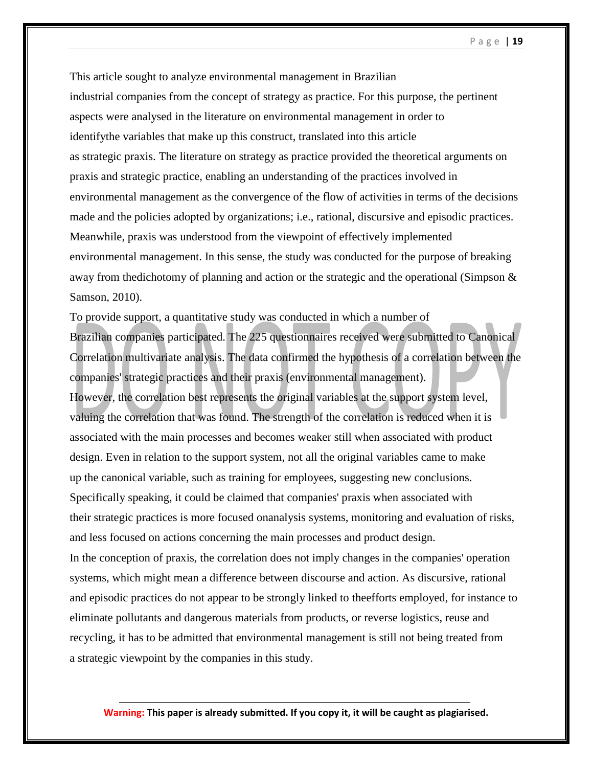This article sought to analyze environmental management in Brazilian industrial companies from the concept of strategy as practice. For this purpose, the pertinent aspects were analysed in the literature on environmental management in order to identifythe variables that make up this construct, translated into this article as strategic praxis. The literature on strategy as practice provided the theoretical arguments on praxis and strategic practice, enabling an understanding of the practices involved in environmental management as the convergence of the flow of activities in terms of the decisions made and the policies adopted by organizations; i.e., rational, discursive and episodic practices. Meanwhile, praxis was understood from the viewpoint of effectively implemented environmental management. In this sense, the study was conducted for the purpose of breaking away from the dichotomy of planning and action or the strategic and the operational (Simpson  $\&$ Samson, 2010).

To provide support, a quantitative study was conducted in which a number of Brazilian companies participated. The 225 questionnaires received were submitted to Canonical Correlation multivariate analysis. The data confirmed the hypothesis of a correlation between the companies' strategic practices and their praxis (environmental management). However, the correlation best represents the original variables at the support system level, valuing the correlation that was found. The strength of the correlation is reduced when it is associated with the main processes and becomes weaker still when associated with product design. Even in relation to the support system, not all the original variables came to make up the canonical variable, such as training for employees, suggesting new conclusions. Specifically speaking, it could be claimed that companies' praxis when associated with their strategic practices is more focused onanalysis systems, monitoring and evaluation of risks, and less focused on actions concerning the main processes and product design. In the conception of praxis, the correlation does not imply changes in the companies' operation systems, which might mean a difference between discourse and action. As discursive, rational and episodic practices do not appear to be strongly linked to theefforts employed, for instance to eliminate pollutants and dangerous materials from products, or reverse logistics, reuse and recycling, it has to be admitted that environmental management is still not being treated from a strategic viewpoint by the companies in this study.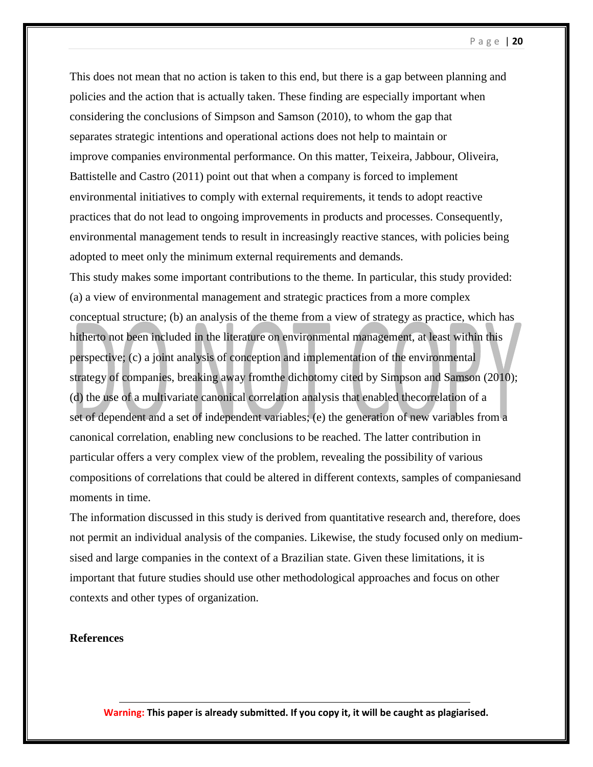This does not mean that no action is taken to this end, but there is a gap between planning and policies and the action that is actually taken. These finding are especially important when considering the conclusions of Simpson and Samson (2010), to whom the gap that separates strategic intentions and operational actions does not help to maintain or improve companies environmental performance. On this matter, Teixeira, Jabbour, Oliveira, Battistelle and Castro (2011) point out that when a company is forced to implement environmental initiatives to comply with external requirements, it tends to adopt reactive practices that do not lead to ongoing improvements in products and processes. Consequently, environmental management tends to result in increasingly reactive stances, with policies being adopted to meet only the minimum external requirements and demands.

This study makes some important contributions to the theme. In particular, this study provided: (a) a view of environmental management and strategic practices from a more complex conceptual structure; (b) an analysis of the theme from a view of strategy as practice, which has hitherto not been included in the literature on environmental management, at least within this perspective; (c) a joint analysis of conception and implementation of the environmental strategy of companies, breaking away fromthe dichotomy cited by Simpson and Samson (2010); (d) the use of a multivariate canonical correlation analysis that enabled thecorrelation of a set of dependent and a set of independent variables; (e) the generation of new variables from a canonical correlation, enabling new conclusions to be reached. The latter contribution in particular offers a very complex view of the problem, revealing the possibility of various compositions of correlations that could be altered in different contexts, samples of companiesand moments in time.

The information discussed in this study is derived from quantitative research and, therefore, does not permit an individual analysis of the companies. Likewise, the study focused only on mediumsised and large companies in the context of a Brazilian state. Given these limitations, it is important that future studies should use other methodological approaches and focus on other contexts and other types of organization.

## **References**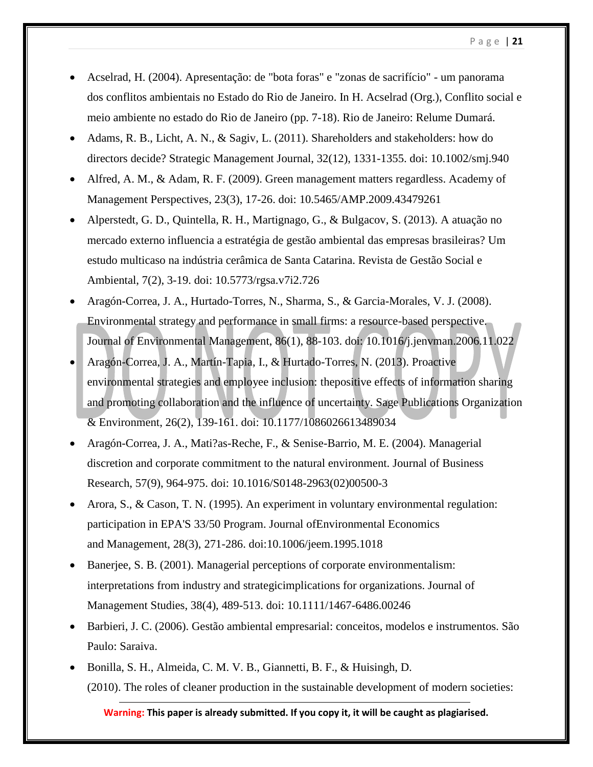- Acselrad, H. (2004). Apresentação: de "bota foras" e "zonas de sacrifício" um panorama dos conflitos ambientais no Estado do Rio de Janeiro. In H. Acselrad (Org.), Conflito social e meio ambiente no estado do Rio de Janeiro (pp. 7-18). Rio de Janeiro: Relume Dumará.
- Adams, R. B., Licht, A. N., & Sagiv, L. (2011). Shareholders and stakeholders: how do directors decide? Strategic Management Journal, 32(12), 1331-1355. doi: 10.1002/smj.940
- Alfred, A. M., & Adam, R. F. (2009). Green management matters regardless. Academy of Management Perspectives, 23(3), 17-26. doi: 10.5465/AMP.2009.43479261
- Alperstedt, G. D., Quintella, R. H., Martignago, G., & Bulgacov, S. (2013). A atuação no mercado externo influencia a estratégia de gestão ambiental das empresas brasileiras? Um estudo multicaso na indústria cerâmica de Santa Catarina. Revista de Gestão Social e Ambiental, 7(2), 3-19. doi: 10.5773/rgsa.v7i2.726
- Aragón-Correa, J. A., Hurtado-Torres, N., Sharma, S., & Garcia-Morales, V. J. (2008). Environmental strategy and performance in small firms: a resource-based perspective. Journal of Environmental Management, 86(1), 88-103. doi: 10.1016/j.jenvman.2006.11.022
- Aragón-Correa, J. A., Martín-Tapia, I., & Hurtado-Torres, N. (2013). Proactive environmental strategies and employee inclusion: thepositive effects of information sharing and promoting collaboration and the influence of uncertainty. Sage Publications Organization & Environment, 26(2), 139-161. doi: 10.1177/1086026613489034
- Aragón-Correa, J. A., Mati?as-Reche, F., & Senise-Barrio, M. E. (2004). Managerial discretion and corporate commitment to the natural environment. Journal of Business Research, 57(9), 964-975. doi: 10.1016/S0148-2963(02)00500-3
- Arora, S., & Cason, T. N. (1995). An experiment in voluntary environmental regulation: participation in EPA'S 33/50 Program. Journal ofEnvironmental Economics and Management, 28(3), 271-286. doi:10.1006/jeem.1995.1018
- Banerjee, S. B. (2001). Managerial perceptions of corporate environmentalism: interpretations from industry and strategicimplications for organizations. Journal of Management Studies, 38(4), 489-513. doi: 10.1111/1467-6486.00246
- Barbieri, J. C. (2006). Gestão ambiental empresarial: conceitos, modelos e instrumentos. São Paulo: Saraiva.
- Bonilla, S. H., Almeida, C. M. V. B., Giannetti, B. F., & Huisingh, D. (2010). The roles of cleaner production in the sustainable development of modern societies: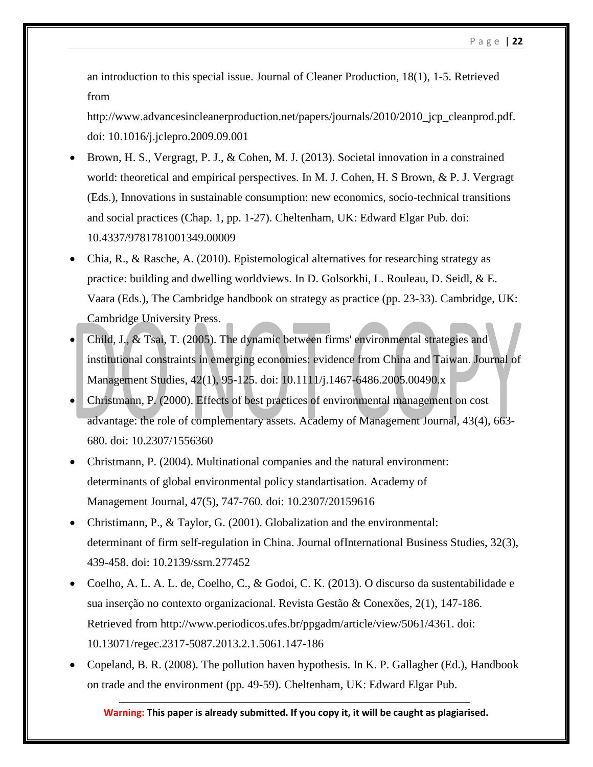an introduction to this special issue. Journal of Cleaner Production, 18(1), 1-5. Retrieved from

http://www.advancesincleanerproduction.net/papers/journals/2010/2010\_jcp\_cleanprod.pdf. doi: 10.1016/j.jclepro.2009.09.001

- Brown, H. S., Vergragt, P. J., & Cohen, M. J. (2013). Societal innovation in a constrained world: theoretical and empirical perspectives. In M. J. Cohen, H. S Brown, & P. J. Vergragt (Eds.), Innovations in sustainable consumption: new economics, socio-technical transitions and social practices (Chap. 1, pp. 1-27). Cheltenham, UK: Edward Elgar Pub. doi: 10.4337/9781781001349.00009
- Chia, R., & Rasche, A. (2010). Epistemological alternatives for researching strategy as practice: building and dwelling worldviews. In D. Golsorkhi, L. Rouleau, D. Seidl, & E. Vaara (Eds.), The Cambridge handbook on strategy as practice (pp. 23-33). Cambridge, UK: Cambridge University Press.
- Child, J., & Tsai, T. (2005). The dynamic between firms' environmental strategies and institutional constraints in emerging economies: evidence from China and Taiwan. Journal of Management Studies, 42(1), 95-125. doi: 10.1111/j.1467-6486.2005.00490.x
- Christmann, P. (2000). Effects of best practices of environmental management on cost advantage: the role of complementary assets. Academy of Management Journal, 43(4), 663- 680. doi: 10.2307/1556360
- Christmann, P. (2004). Multinational companies and the natural environment: determinants of global environmental policy standartisation. Academy of Management Journal, 47(5), 747-760. doi: 10.2307/20159616
- Christimann, P., & Taylor, G. (2001). Globalization and the environmental: determinant of firm self-regulation in China. Journal ofInternational Business Studies, 32(3), 439-458. doi: 10.2139/ssrn.277452
- Coelho, A. L. A. L. de, Coelho, C., & Godoi, C. K. (2013). O discurso da sustentabilidade e sua inserção no contexto organizacional. Revista Gestão & Conexões, 2(1), 147-186. Retrieved from http://www.periodicos.ufes.br/ppgadm/article/view/5061/4361. doi: 10.13071/regec.2317-5087.2013.2.1.5061.147-186
- Copeland, B. R. (2008). The pollution haven hypothesis. In K. P. Gallagher (Ed.), Handbook on trade and the environment (pp. 49-59). Cheltenham, UK: Edward Elgar Pub.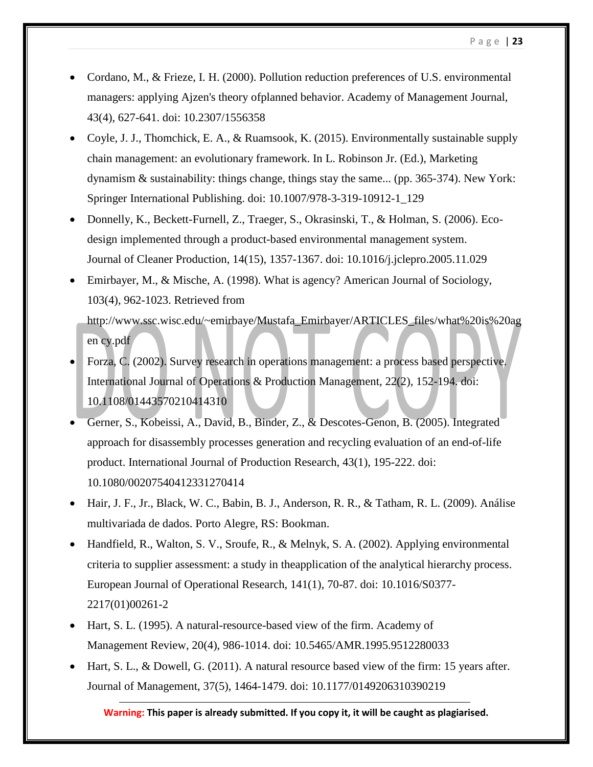- Cordano, M., & Frieze, I. H. (2000). Pollution reduction preferences of U.S. environmental managers: applying Ajzen's theory ofplanned behavior. Academy of Management Journal, 43(4), 627-641. doi: 10.2307/1556358
- Coyle, J. J., Thomchick, E. A., & Ruamsook, K. (2015). Environmentally sustainable supply chain management: an evolutionary framework. In L. Robinson Jr. (Ed.), Marketing dynamism & sustainability: things change, things stay the same... (pp. 365-374). New York: Springer International Publishing. doi: 10.1007/978-3-319-10912-1\_129
- Donnelly, K., Beckett-Furnell, Z., Traeger, S., Okrasinski, T., & Holman, S. (2006). Ecodesign implemented through a product-based environmental management system. Journal of Cleaner Production, 14(15), 1357-1367. doi: 10.1016/j.jclepro.2005.11.029
- Emirbayer, M., & Mische, A. (1998). What is agency? American Journal of Sociology, 103(4), 962-1023. Retrieved from http://www.ssc.wisc.edu/~emirbaye/Mustafa\_Emirbayer/ARTICLES\_files/what%20is%20ag en cy.pdf
- Forza, C. (2002). Survey research in operations management: a process based perspective. International Journal of Operations & Production Management, 22(2), 152-194. doi: 10.1108/01443570210414310
- Gerner, S., Kobeissi, A., David, B., Binder, Z., & Descotes-Genon, B. (2005). Integrated approach for disassembly processes generation and recycling evaluation of an end-of-life product. International Journal of Production Research, 43(1), 195-222. doi: 10.1080/00207540412331270414
- Hair, J. F., Jr., Black, W. C., Babin, B. J., Anderson, R. R., & Tatham, R. L. (2009). Análise multivariada de dados. Porto Alegre, RS: Bookman.
- Handfield, R., Walton, S. V., Sroufe, R., & Melnyk, S. A. (2002). Applying environmental criteria to supplier assessment: a study in theapplication of the analytical hierarchy process. European Journal of Operational Research, 141(1), 70-87. doi: 10.1016/S0377- 2217(01)00261-2
- Hart, S. L. (1995). A natural-resource-based view of the firm. Academy of Management Review, 20(4), 986-1014. doi: 10.5465/AMR.1995.9512280033
- $\bullet$  Hart, S. L., & Dowell, G. (2011). A natural resource based view of the firm: 15 years after. Journal of Management, 37(5), 1464-1479. doi: 10.1177/0149206310390219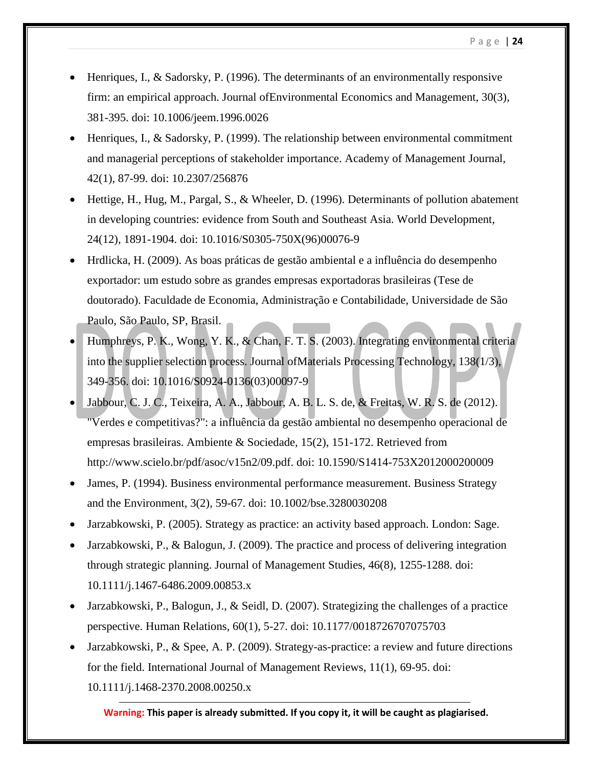- Henriques, I., & Sadorsky, P. (1996). The determinants of an environmentally responsive firm: an empirical approach. Journal ofEnvironmental Economics and Management, 30(3), 381-395. doi: 10.1006/jeem.1996.0026
- Henriques, I., & Sadorsky, P. (1999). The relationship between environmental commitment and managerial perceptions of stakeholder importance. Academy of Management Journal, 42(1), 87-99. doi: 10.2307/256876
- Hettige, H., Hug, M., Pargal, S., & Wheeler, D. (1996). Determinants of pollution abatement in developing countries: evidence from South and Southeast Asia. World Development, 24(12), 1891-1904. doi: 10.1016/S0305-750X(96)00076-9
- Hrdlicka, H. (2009). As boas práticas de gestão ambiental e a influência do desempenho exportador: um estudo sobre as grandes empresas exportadoras brasileiras (Tese de doutorado). Faculdade de Economia, Administração e Contabilidade, Universidade de São Paulo, São Paulo, SP, Brasil.
- Humphreys, P. K., Wong, Y. K., & Chan, F. T. S. (2003). Integrating environmental criteria into the supplier selection process. Journal ofMaterials Processing Technology, 138(1/3), 349-356. doi: 10.1016/S0924-0136(03)00097-9
- Jabbour, C. J. C., Teixeira, A. A., Jabbour, A. B. L. S. de, & Freitas, W. R. S. de (2012). "Verdes e competitivas?": a influência da gestão ambiental no desempenho operacional de empresas brasileiras. Ambiente & Sociedade, 15(2), 151-172. Retrieved from http://www.scielo.br/pdf/asoc/v15n2/09.pdf. doi: 10.1590/S1414-753X2012000200009
- James, P. (1994). Business environmental performance measurement. Business Strategy and the Environment, 3(2), 59-67. doi: 10.1002/bse.3280030208
- Jarzabkowski, P. (2005). Strategy as practice: an activity based approach. London: Sage.
- Jarzabkowski, P., & Balogun, J. (2009). The practice and process of delivering integration through strategic planning. Journal of Management Studies, 46(8), 1255-1288. doi: 10.1111/j.1467-6486.2009.00853.x
- Jarzabkowski, P., Balogun, J., & Seidl, D. (2007). Strategizing the challenges of a practice perspective. Human Relations, 60(1), 5-27. doi: 10.1177/0018726707075703
- Jarzabkowski, P., & Spee, A. P. (2009). Strategy-as-practice: a review and future directions for the field. International Journal of Management Reviews, 11(1), 69-95. doi: 10.1111/j.1468-2370.2008.00250.x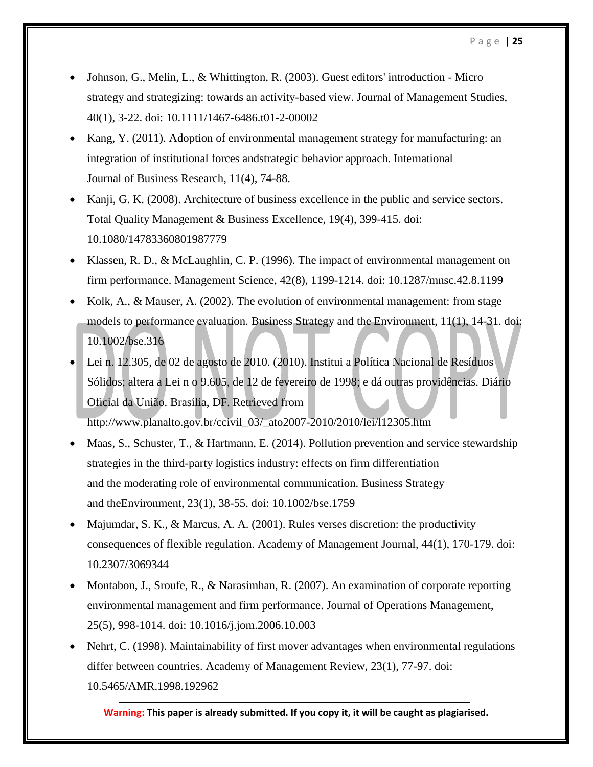- Johnson, G., Melin, L., & Whittington, R. (2003). Guest editors' introduction Micro strategy and strategizing: towards an activity-based view. Journal of Management Studies, 40(1), 3-22. doi: 10.1111/1467-6486.t01-2-00002
- Kang, Y. (2011). Adoption of environmental management strategy for manufacturing: an integration of institutional forces andstrategic behavior approach. International Journal of Business Research, 11(4), 74-88.
- Kanji, G. K. (2008). Architecture of business excellence in the public and service sectors. Total Quality Management & Business Excellence, 19(4), 399-415. doi: 10.1080/14783360801987779
- Klassen, R. D., & McLaughlin, C. P. (1996). The impact of environmental management on firm performance. Management Science, 42(8), 1199-1214. doi: 10.1287/mnsc.42.8.1199
- Kolk, A., & Mauser, A. (2002). The evolution of environmental management: from stage models to performance evaluation. Business Strategy and the Environment, 11(1), 14-31. doi: 10.1002/bse.316
- Lei n. 12.305, de 02 de agosto de 2010. (2010). Institui a Política Nacional de Resíduos Sólidos; altera a Lei n o 9.605, de 12 de fevereiro de 1998; e dá outras providências. Diário Oficial da União. Brasília, DF. Retrieved from http://www.planalto.gov.br/ccivil\_03/\_ato2007-2010/2010/lei/l12305.htm
- Maas, S., Schuster, T., & Hartmann, E. (2014). Pollution prevention and service stewardship strategies in the third-party logistics industry: effects on firm differentiation and the moderating role of environmental communication. Business Strategy and theEnvironment, 23(1), 38-55. doi: 10.1002/bse.1759
- Majumdar, S. K., & Marcus, A. A. (2001). Rules verses discretion: the productivity consequences of flexible regulation. Academy of Management Journal, 44(1), 170-179. doi: 10.2307/3069344
- Montabon, J., Sroufe, R., & Narasimhan, R. (2007). An examination of corporate reporting environmental management and firm performance. Journal of Operations Management, 25(5), 998-1014. doi: 10.1016/j.jom.2006.10.003
- Nehrt, C. (1998). Maintainability of first mover advantages when environmental regulations differ between countries. Academy of Management Review, 23(1), 77-97. doi: 10.5465/AMR.1998.192962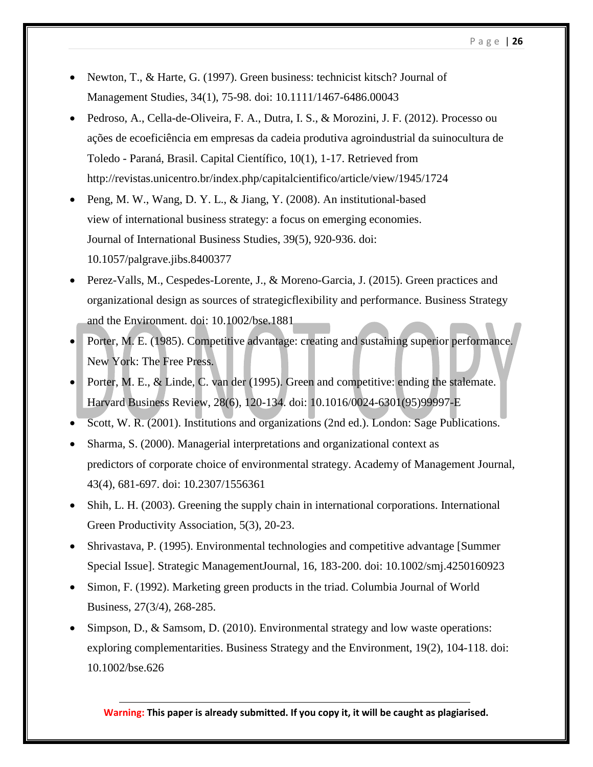- Newton, T., & Harte, G. (1997). Green business: technicist kitsch? Journal of Management Studies, 34(1), 75-98. doi: 10.1111/1467-6486.00043
- Pedroso, A., Cella-de-Oliveira, F. A., Dutra, I. S., & Morozini, J. F. (2012). Processo ou ações de ecoeficiência em empresas da cadeia produtiva agroindustrial da suinocultura de Toledo - Paraná, Brasil. Capital Científico, 10(1), 1-17. Retrieved from http://revistas.unicentro.br/index.php/capitalcientifico/article/view/1945/1724
- Peng, M. W., Wang, D. Y. L., & Jiang, Y. (2008). An institutional-based view of international business strategy: a focus on emerging economies. Journal of International Business Studies, 39(5), 920-936. doi: 10.1057/palgrave.jibs.8400377
- Perez-Valls, M., Cespedes-Lorente, J., & Moreno-Garcia, J. (2015). Green practices and organizational design as sources of strategicflexibility and performance. Business Strategy and the Environment. doi: 10.1002/bse.1881
- Porter, M. E. (1985). Competitive advantage: creating and sustaining superior performance. New York: The Free Press.
- Porter, M. E., & Linde, C. van der (1995). Green and competitive: ending the stalemate. Harvard Business Review, 28(6), 120-134. doi: 10.1016/0024-6301(95)99997-E
- Scott, W. R. (2001). Institutions and organizations (2nd ed.). London: Sage Publications.
- Sharma, S. (2000). Managerial interpretations and organizational context as predictors of corporate choice of environmental strategy. Academy of Management Journal, 43(4), 681-697. doi: 10.2307/1556361
- Shih, L. H. (2003). Greening the supply chain in international corporations. International Green Productivity Association, 5(3), 20-23.
- Shrivastava, P. (1995). Environmental technologies and competitive advantage [Summer Special Issue]. Strategic ManagementJournal, 16, 183-200. doi: 10.1002/smj.4250160923
- Simon, F. (1992). Marketing green products in the triad. Columbia Journal of World Business, 27(3/4), 268-285.
- Simpson, D., & Samsom, D. (2010). Environmental strategy and low waste operations: exploring complementarities. Business Strategy and the Environment, 19(2), 104-118. doi: 10.1002/bse.626